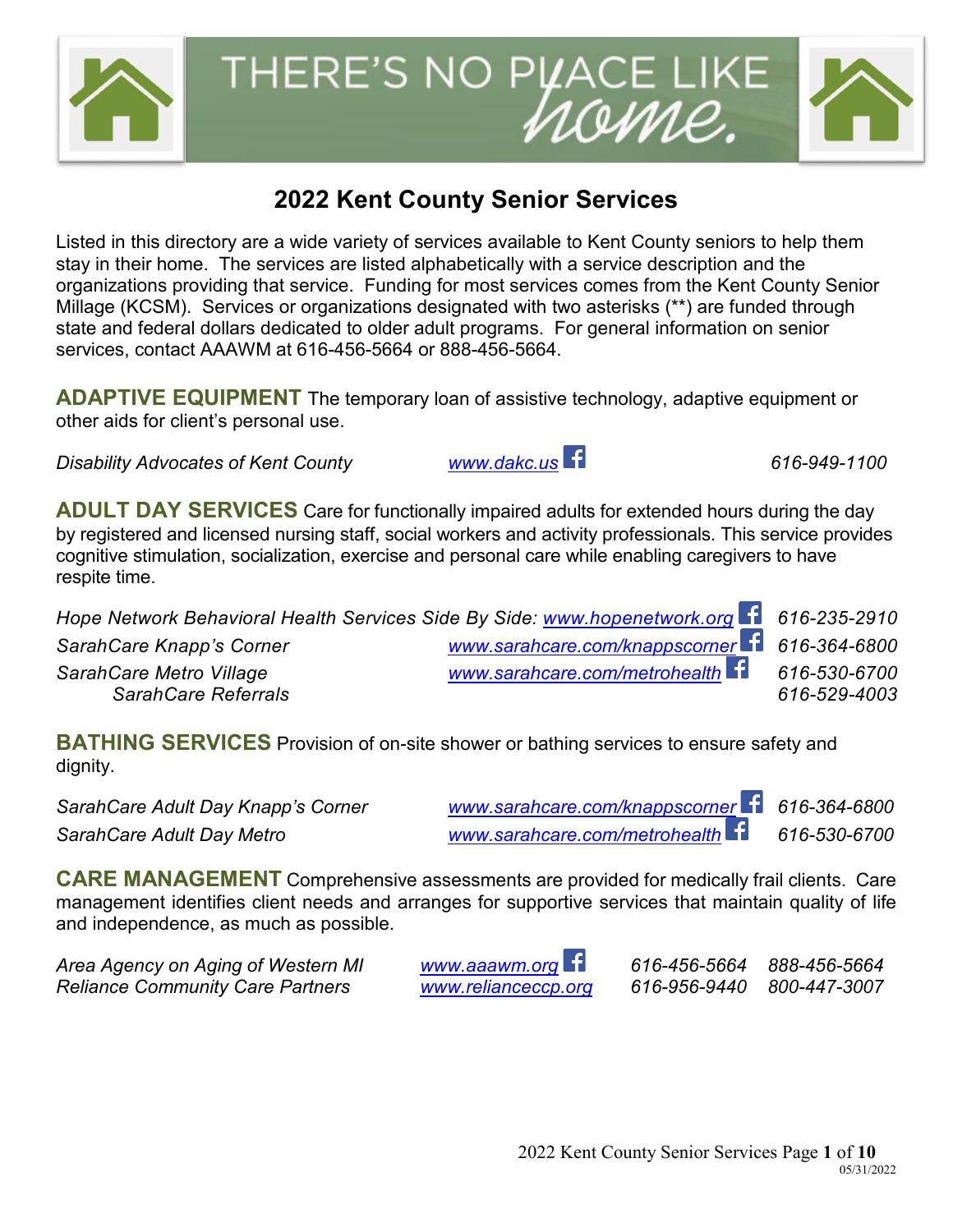## **2022 Kent County Senior Services**

rome.

Listed in this directory are a wide variety of services available to Kent County seniors to help them stay in their home. The services are listed alphabetically with a service description and the organizations providing that service. Funding for most services comes from the Kent County Senior Millage (KCSM). Services or organizations designated with two asterisks (\*\*) are funded through state and federal dollars dedicated to older adult programs. For general information on senior services, contact AAAWM at 616-456-5664 or 888-456-5664.

**ADAPTIVE EQUIPMENT** The temporary loan of assistive technology, adaptive equipment or other aids for client's personal use.

*Disability Advocates of Kent County [www.dakc.us](http://www.dakc.us/) 616-949-1100*

**ADULT DAY SERVICES** Care for functionally impaired adults for extended hours during the day by registered and licensed nursing staff, social workers and activity professionals. This service provides cognitive stimulation, socialization, exercise and personal care while enabling caregivers to have respite time.

| Hope Network Behavioral Health Services Side By Side: www.hopenetwork.org 1 616-235-2910 |                                               |              |
|------------------------------------------------------------------------------------------|-----------------------------------------------|--------------|
| SarahCare Knapp's Corner                                                                 | www.sarahcare.com/knappscorner f 616-364-6800 |              |
| SarahCare Metro Village                                                                  | www.sarahcare.com/metrohealth f 616-530-6700  |              |
| SarahCare Referrals                                                                      |                                               | 616-529-4003 |

**BATHING SERVICES** Provision of on-site shower or bathing services to ensure safety and dignity.

*SarahCare Adult Day Knapp's Corner [www.sarahcare.com/knappscorner](http://www.sarahcare.com/knappscorner) 616-364-6800*

*SarahCare Adult Day Metro [www.sarahcare.com/metrohealth](http://www.sarahcare.com/metrohealth) 616-530-6700* 

**CARE MANAGEMENT** Comprehensive assessments are provided for medically frail clients. Care management identifies client needs and arranges for supportive services that maintain quality of life and independence, as much as possible.

*Area Agency on Aging of Western MI [www.aaawm.org](http://www.aaawm.org/) 616-456-5664 888-456-5664 Reliance Community Care Partners [www.relianceccp.org](http://www.relianceccp.org/) 616-956-9440 800-447-3007*



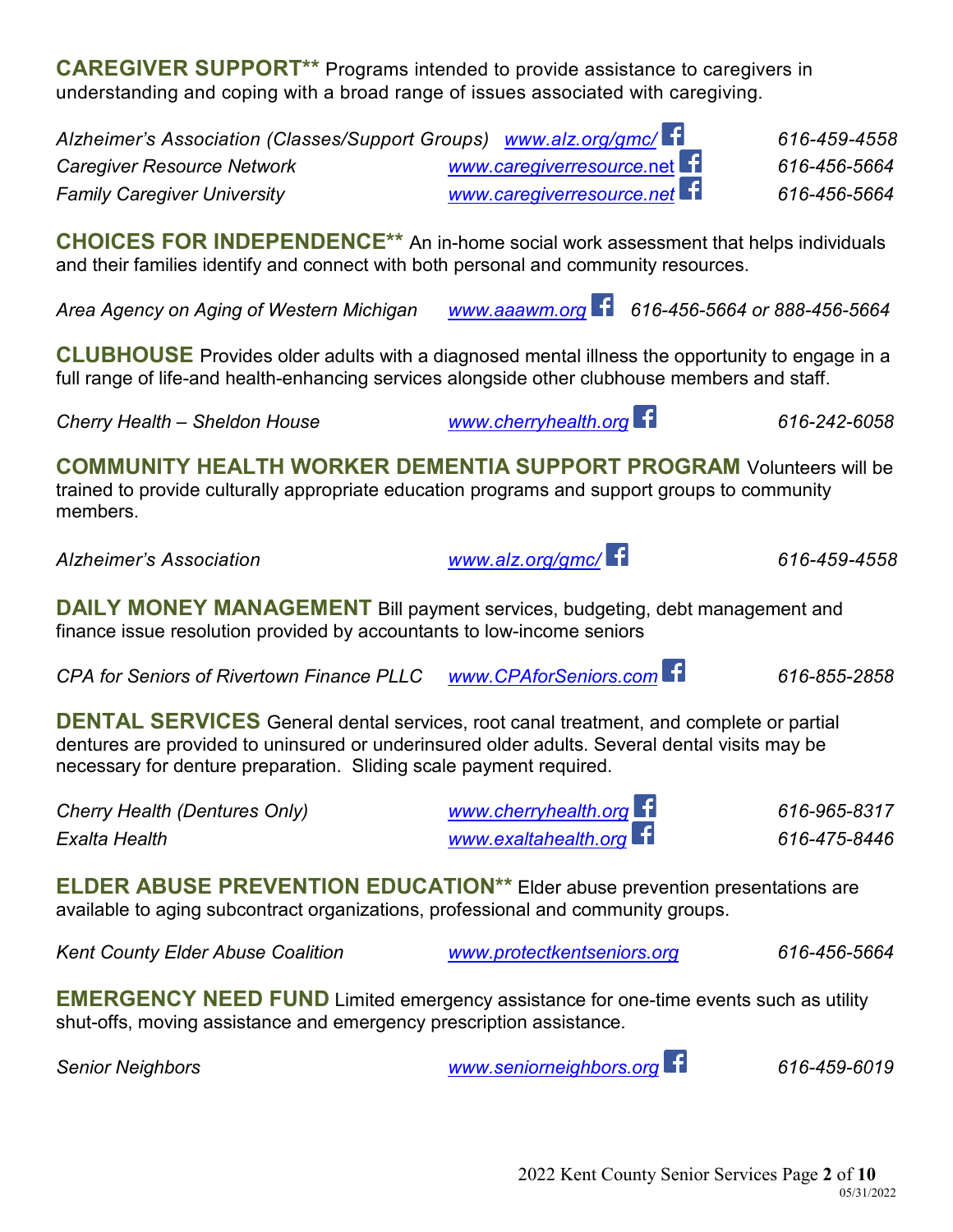**CAREGIVER SUPPORT\*\*** Programs intended to provide assistance to caregivers in understanding and coping with a broad range of issues associated with caregiving.

*Alzheimer's Association (Classes/Support Groups) [www.alz.org/gmc/](http://www.alz.org/gmc/) 616-459-4558 Caregiver Resource Network [www.caregiverresource.](http://www.caregiverresource.net/)*net *616-456-5664 Family Caregiver University [www.caregiverresource.net](http://www.caregiverresource.net/) 616-456-5664*

**CHOICES FOR INDEPENDENCE\*\*** An in-home social work assessment that helps individuals and their families identify and connect with both personal and community resources.

*Area Agency on Aging of Western Michigan [www.aaawm.org](http://www.aaawm.org/) 616-456-5664 or 888-456-5664*

**CLUBHOUSE** Provides older adults with a diagnosed mental illness the opportunity to engage in a full range of life-and health-enhancing services alongside other clubhouse members and staff.

*Cherry Health – Sheldon House [www.cherryhealth.org](http://www.cherryhealth.org/) 616-242-6058* 

**COMMUNITY HEALTH WORKER DEMENTIA SUPPORT PROGRAM** Volunteers will be trained to provide culturally appropriate education programs and support groups to community members.

*Alzheimer's Association [www.alz.org/gmc/](http://www.alz.org/gmc/) 616-459-4558*

**DAILY MONEY MANAGEMENT** Bill payment services, budgeting, debt management and finance issue resolution provided by accountants to low-income seniors

*CPA for Seniors of Rivertown Finance PLLC [www.CPAforSeniors.com](http://www.cpaforseniors.com/) 616-855-2858*

**DENTAL SERVICES** General dental services, root canal treatment, and complete or partial dentures are provided to uninsured or underinsured older adults. Several dental visits may be necessary for denture preparation. Sliding scale payment required.

*Cherry Health (Dentures Only) [www.cherryhealth.org](http://www.cherryhealth.org/) 616-965-8317 Exalta Health [www.exaltahealth.org](http://www.exaltahealth.org/) 616-475-8446* 

**ELDER ABUSE PREVENTION EDUCATION\*\*** Elder abuse prevention presentations are available to aging subcontract organizations, professional and community groups.

*Kent County Elder Abuse Coalition [www.protectkentseniors.org](http://www.protectkentseniors.org/) 616-456-5664*

**EMERGENCY NEED FUND** Limited emergency assistance for one-time events such as utility shut-offs, moving assistance and emergency prescription assistance.

*Senior Neighbors [www.seniorneighbors.org](http://www.seniorneighbors.org/) 616-459-6019*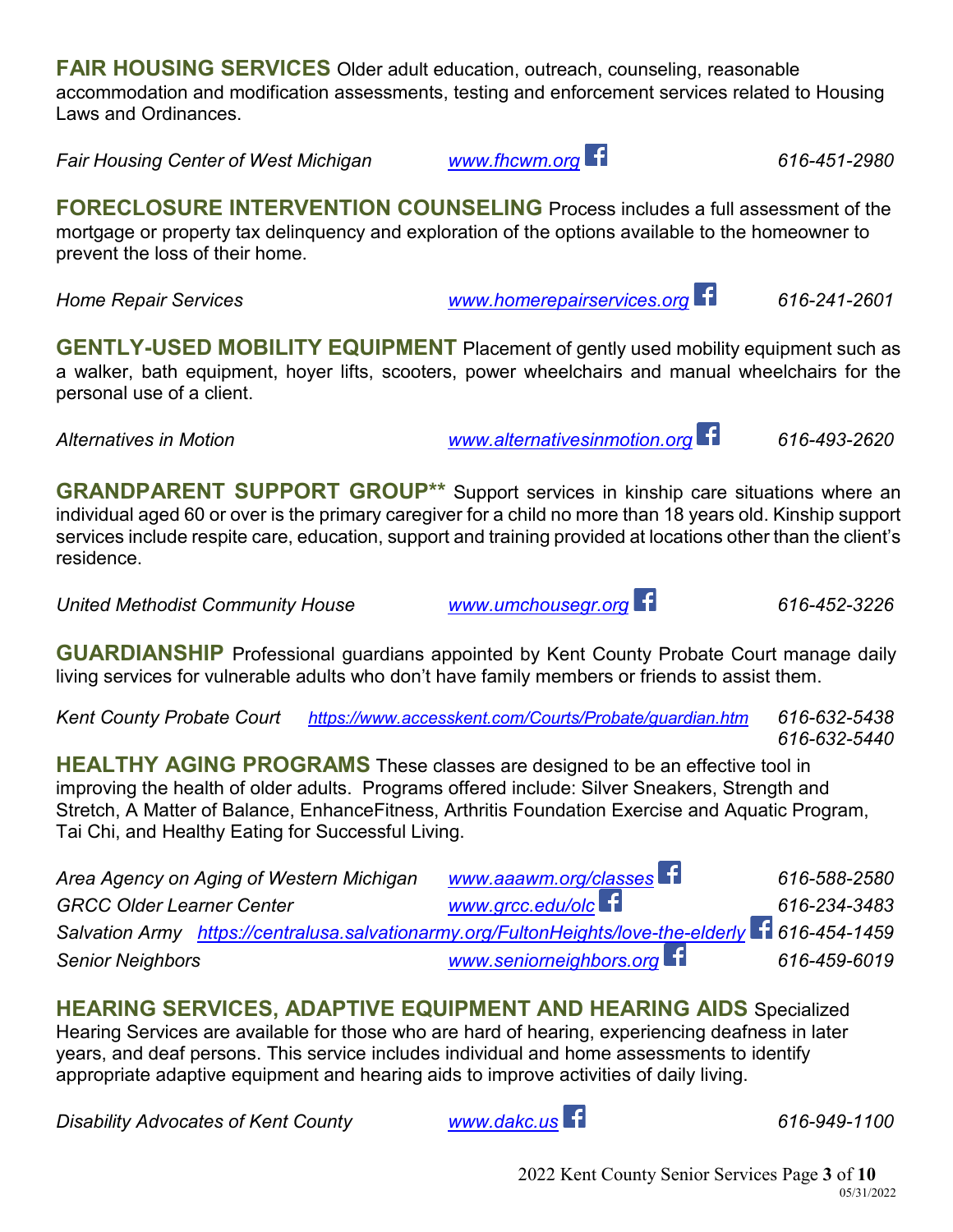**FAIR HOUSING SERVICES** Older adult education, outreach, counseling, reasonable accommodation and modification assessments, testing and enforcement services related to Housing Laws and Ordinances.

*Fair Housing Center of West Michigan [www.fhcwm.org](http://www.fhcwm.org/) 616-451-2980*

**FORECLOSURE INTERVENTION COUNSELING** Process includes a full assessment of the mortgage or property tax delinquency and exploration of the options available to the homeowner to prevent the loss of their home.

*Home Repair Services [www.homerepairservices.org](http://www.homerepairservices.org/) 616-241-2601*

**GENTLY-USED MOBILITY EQUIPMENT** Placement of gently used mobility equipment such as a walker, bath equipment, hoyer lifts, scooters, power wheelchairs and manual wheelchairs for the personal use of a client.

*Alternatives in Motion [www.alternativesinmotion.org](http://www.alternativesinmotion.org/) 616-493-2620*

**GRANDPARENT SUPPORT GROUP\*\*** Support services in kinship care situations where an individual aged 60 or over is the primary caregiver for a child no more than 18 years old. Kinship support services include respite care, education, support and training provided at locations other than the client's residence.

*United Methodist Community House [www.umchousegr.org](http://www.umchousegr.org/) 616-452-3226*

**GUARDIANSHIP** Professional guardians appointed by Kent County Probate Court manage daily living services for vulnerable adults who don't have family members or friends to assist them.

*Kent County Probate Court <https://www.accesskent.com/Courts/Probate/guardian.htm> 616-632-5438 616-632-5440*

**HEALTHY AGING PROGRAMS** These classes are designed to be an effective tool in improving the health of older adults. Programs offered include: Silver Sneakers, Strength and Stretch, A Matter of Balance, EnhanceFitness, Arthritis Foundation Exercise and Aquatic Program, Tai Chi, and Healthy Eating for Successful Living.

| Area Agency on Aging of Western Michigan                                                          | www.aaawm.org/classes     | 616-588-2580 |
|---------------------------------------------------------------------------------------------------|---------------------------|--------------|
| <b>GRCC Older Learner Center</b>                                                                  | www.grcc.edu/olce         | 616-234-3483 |
| Salvation Army https://centralusa.salvationarmy.org/FultonHeights/love-the-elderly 1 616-454-1459 |                           |              |
| <b>Senior Neighbors</b>                                                                           | www.seniorneighbors.org f | 616-459-6019 |

**HEARING SERVICES, ADAPTIVE EQUIPMENT AND HEARING AIDS** Specialized Hearing Services are available for those who are hard of hearing, experiencing deafness in later years, and deaf persons. This service includes individual and home assessments to identify appropriate adaptive equipment and hearing aids to improve activities of daily living.

*Disability Advocates of Kent County [www.dakc.us](http://www.dakc.us/) 616-949-1100*

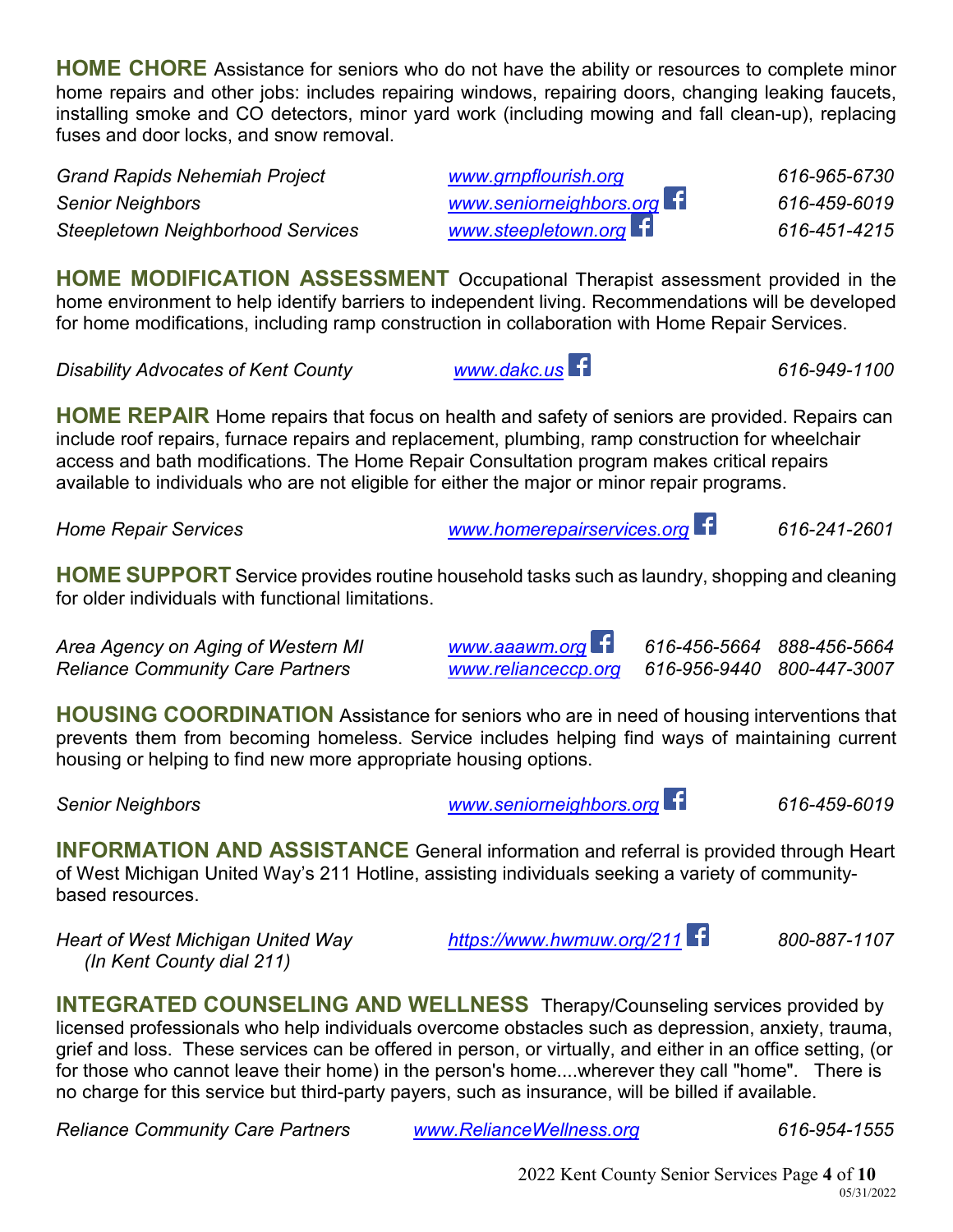**HOME CHORE** Assistance for seniors who do not have the ability or resources to complete minor home repairs and other jobs: includes repairing windows, repairing doors, changing leaking faucets, installing smoke and CO detectors, minor yard work (including mowing and fall clean-up), replacing fuses and door locks, and snow removal.

*Grand Rapids Nehemiah Project [www.grnpflourish.org](http://www.grnpflourish.org/) 616-965-6730 Senior Neighbors [www.seniorneighbors.org](http://www.seniorneighbors.org/) 616-459-6019 Steepletown Neighborhood Services [www.steepletown.org](http://www.steepletown.org/) 616-451-4215* 

**HOME MODIFICATION ASSESSMENT** Occupational Therapist assessment provided in the home environment to help identify barriers to independent living. Recommendations will be developed for home modifications, including ramp construction in collaboration with Home Repair Services.

*Disability Advocates of Kent County [www.dakc.us](http://www.dakc.us/) 616-949-1100*

**HOME REPAIR** Home repairs that focus on health and safety of seniors are provided. Repairs can include roof repairs, furnace repairs and replacement, plumbing, ramp construction for wheelchair access and bath modifications. The Home Repair Consultation program makes critical repairs available to individuals who are not eligible for either the major or minor repair programs.

*Home Repair Services [www.homerepairservices.org](http://www.homerepairservices.org/) 616-241-2601* 

**HOME SUPPORT** Service provides routine household tasks such as laundry, shopping and cleaning for older individuals with functional limitations.

*Area Agency on Aging of Western MI [www.aaawm.org](http://www.aaawm.org/) 616-456-5664 888-456-5664*

*Reliance Community Care Partners [www.relianceccp.org](http://www.relianceccp.org/) 616-956-9440 800-447-3007*

**HOUSING COORDINATION** Assistance for seniors who are in need of housing interventions that prevents them from becoming homeless. Service includes helping find ways of maintaining current housing or helping to find new more appropriate housing options.

*Senior Neighbors [www.seniorneighbors.org](http://www.seniorneighbors.org/) 616-459-6019* 

**INFORMATION AND ASSISTANCE** General information and referral is provided through Heart of West Michigan United Way's 211 Hotline, assisting individuals seeking a variety of communitybased resources.

*Heart of West Michigan United Way <https://www.hwmuw.org/211> 800-887-1107 (In Kent County dial 211)*

**INTEGRATED COUNSELING AND WELLNESS** Therapy/Counseling services provided by licensed professionals who help individuals overcome obstacles such as depression, anxiety, trauma, grief and loss. These services can be offered in person, or virtually, and either in an office setting, (or for those who cannot leave their home) in the person's home....wherever they call "home". There is no charge for this service but third-party payers, such as insurance, will be billed if available.

*Reliance Community Care Partners [www.RelianceWellness.org](http://www.reliancewellness.org/) 616-954-1555*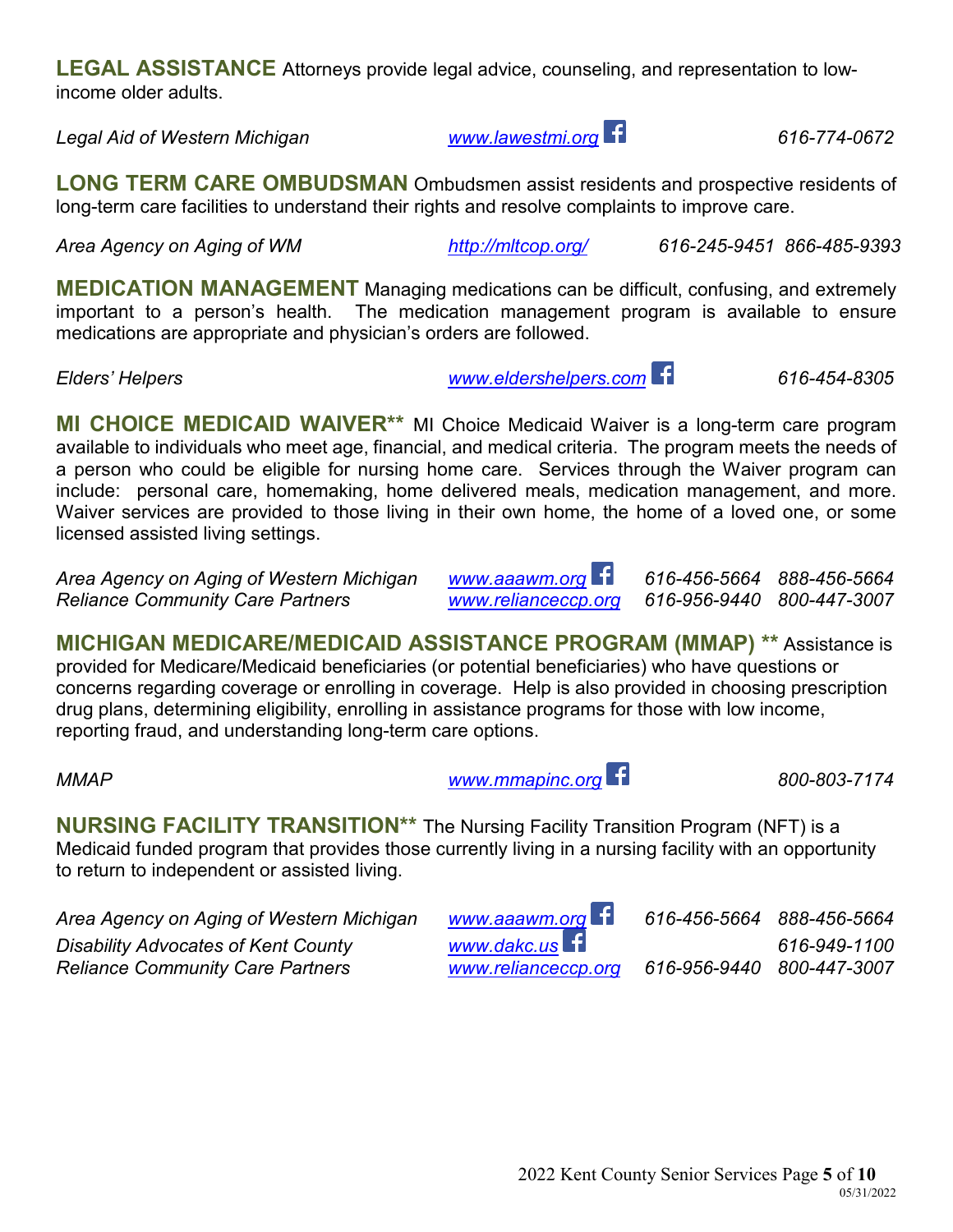2022 Kent County Senior Services Page **5** of **10**

**LEGAL ASSISTANCE** Attorneys provide legal advice, counseling, and representation to lowincome older adults.

*Legal Aid of Western Michigan [www.lawestmi.org](http://www.lawestmi.org/) 616-774-0672*

**LONG TERM CARE OMBUDSMAN** Ombudsmen assist residents and prospective residents of long-term care facilities to understand their rights and resolve complaints to improve care.

*Area Agency on Aging of WM <http://mltcop.org/> 616-245-9451 866-485-9393*

**MEDICATION MANAGEMENT** Managing medications can be difficult, confusing, and extremely important to a person's health. The medication management program is available to ensure medications are appropriate and physician's orders are followed.

*Elders' Helpers [www.eldershelpers.com](http://www.eldershelpers.com/) 616-454-8305* 

**MI CHOICE MEDICAID WAIVER\*\*** MI Choice Medicaid Waiver is a long-term care program available to individuals who meet age, financial, and medical criteria. The program meets the needs of a person who could be eligible for nursing home care. Services through the Waiver program can include: personal care, homemaking, home delivered meals, medication management, and more. Waiver services are provided to those living in their own home, the home of a loved one, or some licensed assisted living settings.

*Area Agency on Aging of Western Michigan [www.aaawm.org](http://www.aaawm.org/) 616-456-5664 888-456-5664 Reliance Community Care Partners [www.relianceccp.org](http://www.relianceccp.org/) 616-956-9440 800-447-3007*

**MICHIGAN MEDICARE/MEDICAID ASSISTANCE PROGRAM (MMAP) \*\*** Assistance is provided for Medicare/Medicaid beneficiaries (or potential beneficiaries) who have questions or concerns regarding coverage or enrolling in coverage. Help is also provided in choosing prescription drug plans, determining eligibility, enrolling in assistance programs for those with low income, reporting fraud, and understanding long-term care options.

*MMAP [www.mmapinc.org](http://www.mmapinc.org/) 800-803-7174*

Medicaid funded program that provides those currently living in a nursing facility with an opportunity to return to independent or assisted living.

**NURSING FACILITY TRANSITION\*\*** The Nursing Facility Transition Program (NFT) is a

*Area Agency on Aging of Western Michigan [www.aaawm.org](http://www.aaawm.org/) 616-456-5664 888-456-5664 Disability Advocates of Kent County [www.dakc.us](http://www.dakc.us/) 616-949-1100 Reliance Community Care Partners [www.relianceccp.org](http://www.relianceccp.org/) 616-956-9440 800-447-3007*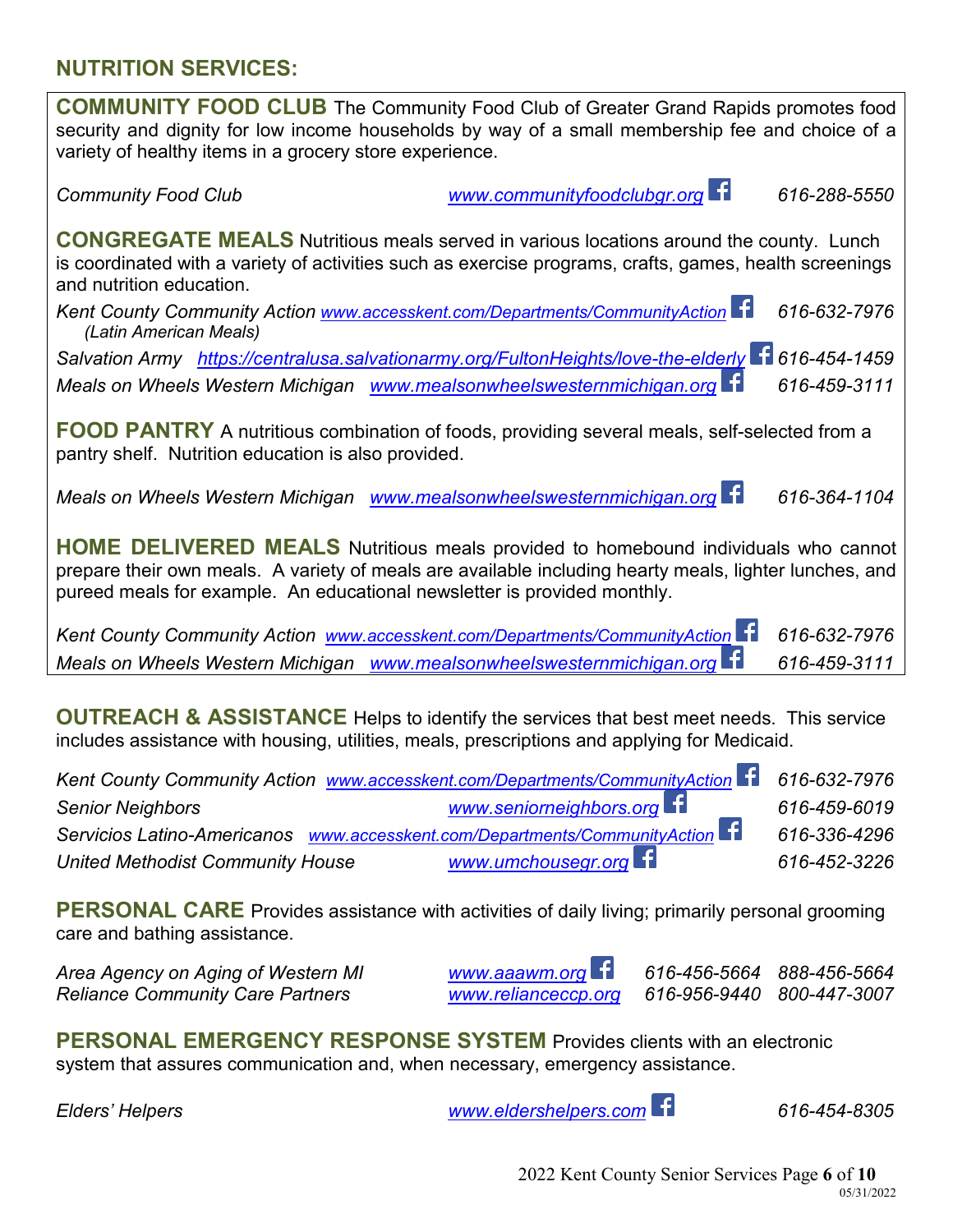## **NUTRITION SERVICES:**

**COMMUNITY FOOD CLUB** The Community Food Club of Greater Grand Rapids promotes food security and dignity for low income households by way of a small membership fee and choice of a variety of healthy items in a grocery store experience.

*Community Food Club [www.communityfoodclubgr.org](http://www.communityfoodclubgr.org/) 616-288-5550*

**CONGREGATE MEALS** Nutritious meals served in various locations around the county. Lunch is coordinated with a variety of activities such as exercise programs, crafts, games, health screenings and nutrition education.

*Kent County Community Action [www.accesskent.com/Departments/CommunityAction](http://www.accesskent.com/Departments/CommunityAction) 616-632-7976 (Latin American Meals)*

*Salvation Army <https://centralusa.salvationarmy.org/FultonHeights/love-the-elderly> 616-454-1459 Meals on Wheels Western Michigan [www.mealsonwheelswesternmichigan.org](http://www.mealsonwheelswesternmichigan.org/) 616-459-3111*

**FOOD PANTRY** A nutritious combination of foods, providing several meals, self-selected from a pantry shelf. Nutrition education is also provided.

*Meals on Wheels Western Michigan [www.mealsonwheelswesternmichigan.org](http://www.mealsonwheelswesternmichigan.org/) 616-364-1104* 

**HOME DELIVERED MEALS** Nutritious meals provided to homebound individuals who cannot prepare their own meals. A variety of meals are available including hearty meals, lighter lunches, and pureed meals for example. An educational newsletter is provided monthly.

*Kent County Community Action [www.accesskent.com/Departments/CommunityAction](http://www.accesskent.com/Departments/CommunityAction) 616-632-7976 Meals on Wheels Western Michigan [www.mealsonwheelswesternmichigan.org](http://www.mealsonwheelswesternmichigan.org/) 616-459-3111* 

**OUTREACH & ASSISTANCE** Helps to identify the services that best meet needs. This service includes assistance with housing, utilities, meals, prescriptions and applying for Medicaid.

| Kent County Community Action www.accesskent.com/Departments/CommunityAction 11 616-632-7976 |                         |              |
|---------------------------------------------------------------------------------------------|-------------------------|--------------|
| <b>Senior Neighbors</b>                                                                     | www.seniorneighbors.org | 616-459-6019 |
| Servicios Latino-Americanos www.accesskent.com/Departments/CommunityAction                  |                         | 616-336-4296 |
| United Methodist Community House                                                            | www.umchousegr.org      | 616-452-3226 |

**PERSONAL CARE** Provides assistance with activities of daily living; primarily personal grooming care and bathing assistance.

*Area Agency on Aging of Western MI [www.aaawm.org](http://www.aaawm.org/) 616-456-5664 888-456-5664 Reliance Community Care Partners [www.relianceccp.org](http://www.relianceccp.org/) 616-956-9440 800-447-3007*

**PERSONAL EMERGENCY RESPONSE SYSTEM** Provides clients with an electronic system that assures communication and, when necessary, emergency assistance.

*Elders' Helpers [www.eldershelpers.com](http://www.eldershelpers.com/) 616-454-8305*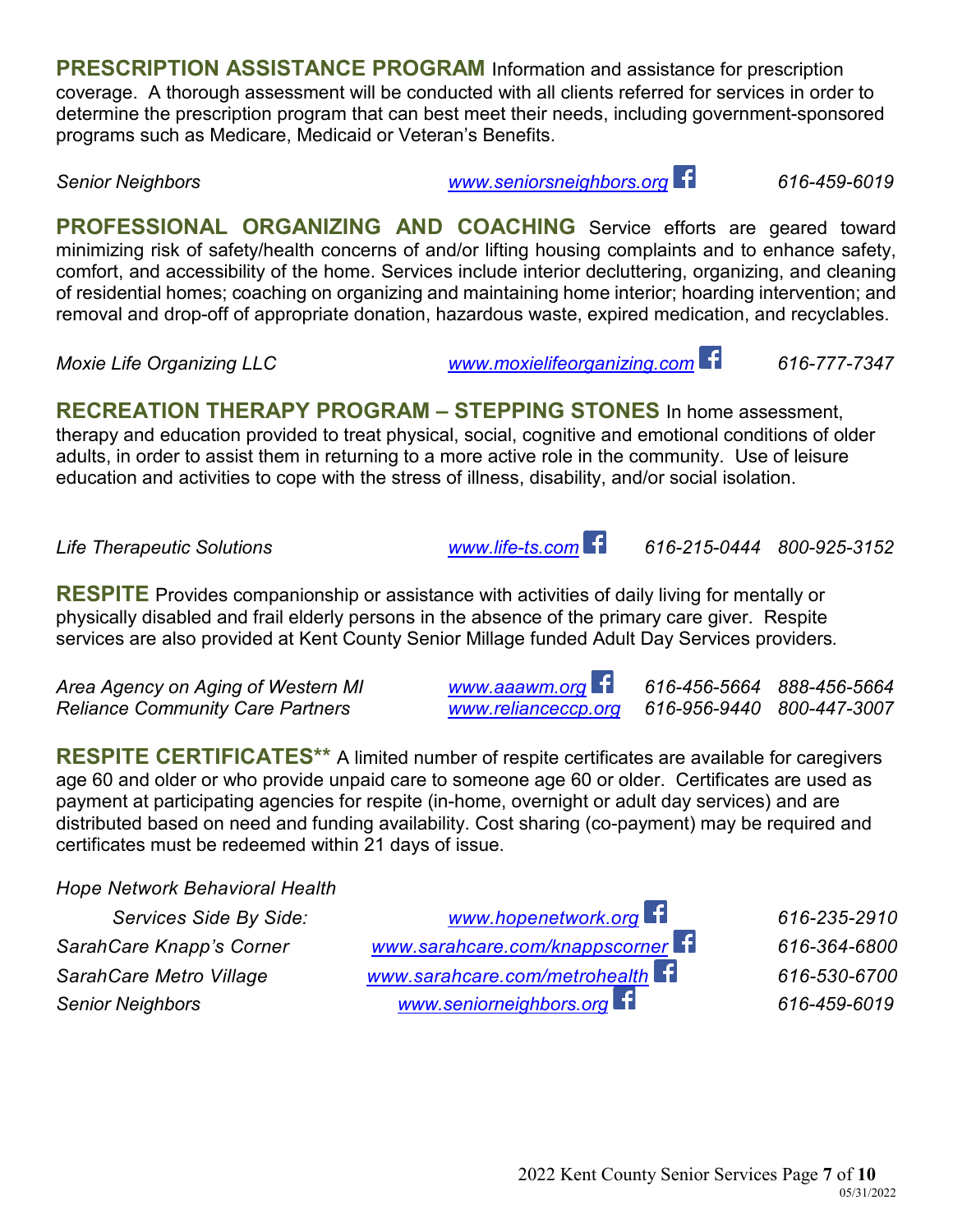**PRESCRIPTION ASSISTANCE PROGRAM** Information and assistance for prescription coverage. A thorough assessment will be conducted with all clients referred for services in order to determine the prescription program that can best meet their needs, including government-sponsored programs such as Medicare, Medicaid or Veteran's Benefits.

*Senior Neighbors [www.seniorsneighbors.org](http://www.seniorsneighbors.org/) 616-459-6019* 

**PROFESSIONAL ORGANIZING AND COACHING** Service efforts are geared toward minimizing risk of safety/health concerns of and/or lifting housing complaints and to enhance safety, comfort, and accessibility of the home. Services include interior decluttering, organizing, and cleaning of residential homes; coaching on organizing and maintaining home interior; hoarding intervention; and removal and drop-off of appropriate donation, hazardous waste, expired medication, and recyclables.

*Moxie Life Organizing LLC [www.moxielifeorganizing.com](http://www.moxielifeorganizing.com/) 616-777-7347*

**RECREATION THERAPY PROGRAM – STEPPING STONES** In home assessment, therapy and education provided to treat physical, social, cognitive and emotional conditions of older adults, in order to assist them in returning to a more active role in the community. Use of leisure education and activities to cope with the stress of illness, disability, and/or social isolation.

*Life Therapeutic Solutions [www.life-ts.com](http://www.life-ts.com/) 616-215-0444 800-925-3152*

**RESPITE** Provides companionship or assistance with activities of daily living for mentally or physically disabled and frail elderly persons in the absence of the primary care giver.Respite services are also provided at Kent County Senior Millage funded Adult Day Services providers*.*

*Area Agency on Aging of Western MI [www.aaawm.org](http://www.aaawm.org/) 616-456-5664 888-456-5664 Reliance Community Care Partners [www.relianceccp.org](http://www.relianceccp.org/) 616-956-9440 800-447-3007*

**RESPITE CERTIFICATES\*\*** A limited number of respite certificates are available for caregivers age 60 and older or who provide unpaid care to someone age 60 or older. Certificates are used as payment at participating agencies for respite (in-home, overnight or adult day services) and are distributed based on need and funding availability. Cost sharing (co-payment) may be required and certificates must be redeemed within 21 days of issue.

*Hope Network Behavioral Health* 

| Services Side By Side:   | www.hopenetwork.org            | 616-235-2910 |
|--------------------------|--------------------------------|--------------|
| SarahCare Knapp's Corner | www.sarahcare.com/knappscorner | 616-364-6800 |
| SarahCare Metro Village  | www.sarahcare.com/metrohealth  | 616-530-6700 |
| <b>Senior Neighbors</b>  | www.seniorneighbors.org        | 616-459-6019 |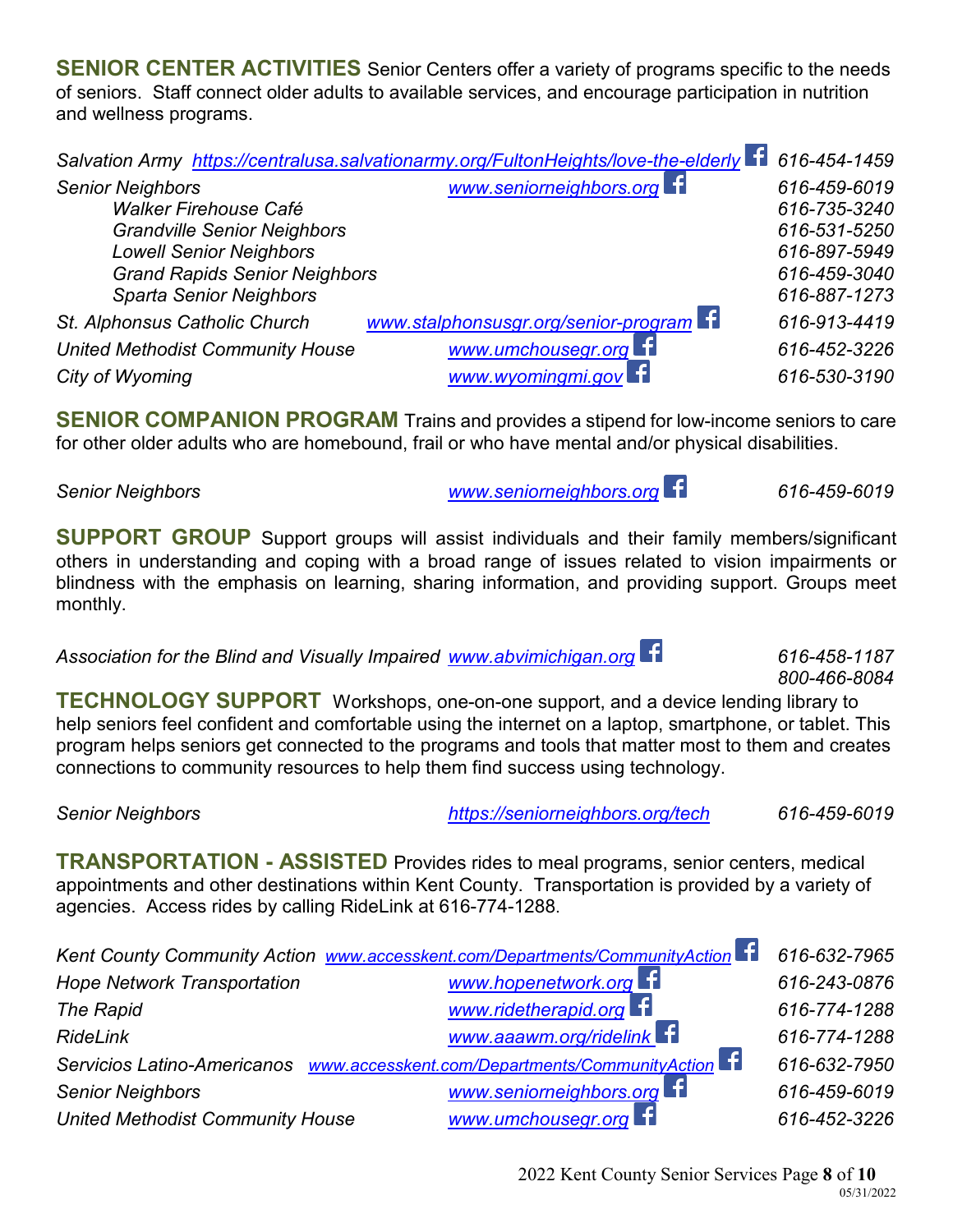**SENIOR CENTER ACTIVITIES** Senior Centers offer a variety of programs specific to the needs of seniors. Staff connect older adults to available services, and encourage participation in nutrition and wellness programs.

|                                         | Salvation Army https://centralusa.salvationarmy.org/FultonHeights/love-the-elderly | 616-454-1459 |
|-----------------------------------------|------------------------------------------------------------------------------------|--------------|
| <b>Senior Neighbors</b>                 | www.seniorneighbors.org                                                            | 616-459-6019 |
| <b>Walker Firehouse Café</b>            |                                                                                    | 616-735-3240 |
| <b>Grandville Senior Neighbors</b>      |                                                                                    | 616-531-5250 |
| <b>Lowell Senior Neighbors</b>          |                                                                                    | 616-897-5949 |
| <b>Grand Rapids Senior Neighbors</b>    |                                                                                    | 616-459-3040 |
| <b>Sparta Senior Neighbors</b>          |                                                                                    | 616-887-1273 |
| St. Alphonsus Catholic Church           | www.stalphonsusgr.org/senior-program                                               | 616-913-4419 |
| <b>United Methodist Community House</b> | www.umchousegr.org <b>E1</b>                                                       | 616-452-3226 |
| City of Wyoming                         | www.wyomingmi.gov                                                                  | 616-530-3190 |

**SENIOR COMPANION PROGRAM** Trains and provides a stipend for low-income seniors to care for other older adults who are homebound, frail or who have mental and/or physical disabilities.

*Senior Neighbors [www.seniorneighbors.org](http://www.seniorneighbors.org/) 616-459-6019* 

*800-466-8084*

**SUPPORT GROUP** Support groups will assist individuals and their family members/significant others in understanding and coping with a broad range of issues related to vision impairments or blindness with the emphasis on learning, sharing information, and providing support. Groups meet monthly.

*Association for the Blind and Visually Impaired [www.abvimichigan.org](http://www.abvimichigan.org/) 616-458-1187*

**TECHNOLOGY SUPPORT** Workshops, one-on-one support, and a device lending library to help seniors feel confident and comfortable using the internet on a laptop, smartphone, or tablet. This program helps seniors get connected to the programs and tools that matter most to them and creates connections to community resources to help them find success using technology.

## *Senior Neighbors <https://seniorneighbors.org/tech> 616-459-6019*

**TRANSPORTATION - ASSISTED** Provides rides to meal programs, senior centers, medical appointments and other destinations within Kent County. Transportation is provided by a variety of agencies. Access rides by calling RideLink at 616-774-1288.

| Kent County Community Action www.accesskent.com/Departments/CommunityAction |                                | 616-632-7965 |
|-----------------------------------------------------------------------------|--------------------------------|--------------|
| <b>Hope Network Transportation</b>                                          | www.hopenetwork.org            | 616-243-0876 |
| <b>The Rapid</b>                                                            | www.ridetherapid.org <b>E1</b> | 616-774-1288 |
| <b>RideLink</b>                                                             | www.aaawm.org/ridelink F       | 616-774-1288 |
| Servicios Latino-Americanos www.accesskent.com/Departments/CommunityAction  |                                | 616-632-7950 |
| <b>Senior Neighbors</b>                                                     | www.seniorneighbors.org        | 616-459-6019 |
| <b>United Methodist Community House</b>                                     | www.umchousegr.org E1          | 616-452-3226 |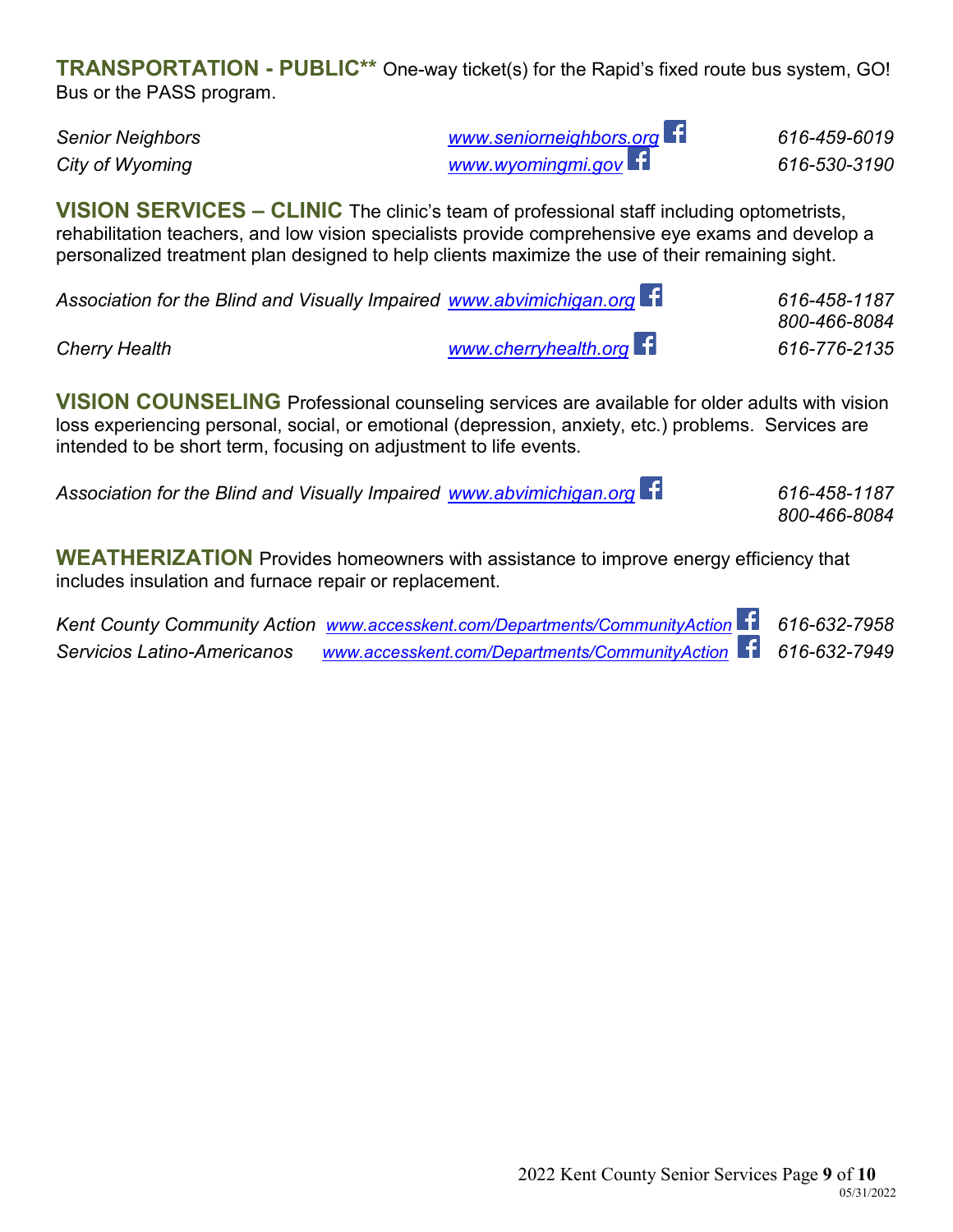**TRANSPORTATION - PUBLIC\*\*** One-way ticket(s) for the Rapid's fixed route bus system, GO! Bus or the PASS program.

*Senior Neighbors [www.seniorneighbors.org](http://www.seniorneighbors.org/) 616-459-6019 City of Wyoming [www.wyomingmi.gov](http://www.wyomingmi.gov/) 616-530-3190* 

**VISION SERVICES – CLINIC** The clinic's team of professional staff including optometrists, rehabilitation teachers, and low vision specialists provide comprehensive eye exams and develop a personalized treatment plan designed to help clients maximize the use of their remaining sight.

| Association for the Blind and Visually Impaired www.abvimichigan.org f |                      | 616-458-1187<br>800-466-8084 |
|------------------------------------------------------------------------|----------------------|------------------------------|
| <b>Cherry Health</b>                                                   | www.cherryhealth.org | 616-776-2135                 |

**VISION COUNSELING** Professional counseling services are available for older adults with vision loss experiencing personal, social, or emotional (depression, anxiety, etc.) problems. Services are intended to be short term, focusing on adjustment to life events.

| Association for the Blind and Visually Impaired www.abvimichigan.org 11 | 616-458-1187 |
|-------------------------------------------------------------------------|--------------|
|                                                                         | 800-466-8084 |

**WEATHERIZATION** Provides homeowners with assistance to improve energy efficiency that includes insulation and furnace repair or replacement.

*Kent County Community Action [www.accesskent.com/Departments/CommunityAction](http://www.accesskent.com/Departments/CommunityAction) 616-632-7958 Servicios Latino-Americanos www.accesskent.com/Departments/CommunityAction 616-632-7949*